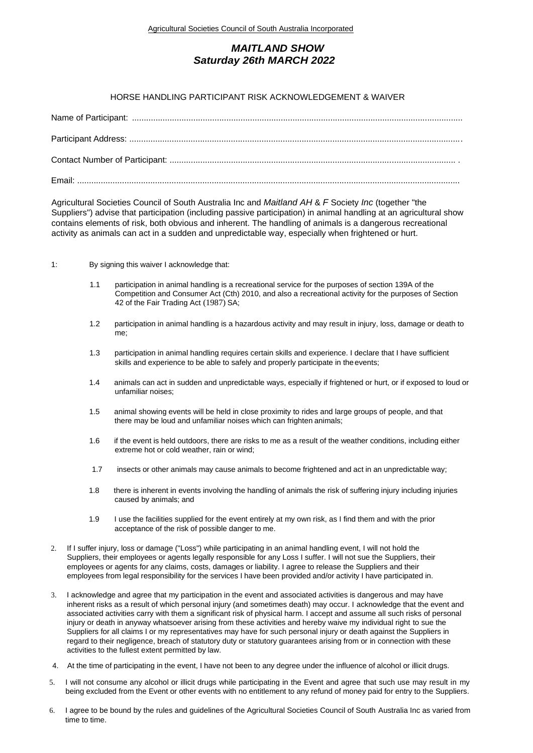## *MAITLAND SHOW Saturday 26th MARCH 2022*

## HORSE HANDLING PARTICIPANT RISK ACKNOWLEDGEMENT & WAIVER

Agricultural Societies Council of South Australia Inc and *Maitland AH* & *F* Society *Inc* (together "the Suppliers") advise that participation (including passive participation) in animal handling at an agricultural show contains elements of risk, both obvious and inherent. The handling of animals is a dangerous recreational activity as animals can act in a sudden and unpredictable way, especially when frightened or hurt.

## 1: By signing this waiver I acknowledge that:

- 1.1 participation in animal handling is a recreational service for the purposes of section 139A of the Competition and Consumer Act (Cth) 2010, and also a recreational activity for the purposes of Section 42 of the Fair Trading Act (1987) SA;
- 1.2 participation in animal handling is a hazardous activity and may result in injury, loss, damage or death to me;
- 1.3 participation in animal handling requires certain skills and experience. I declare that I have sufficient skills and experience to be able to safely and properly participate in the events;
- 1.4 animals can act in sudden and unpredictable ways, especially if frightened or hurt, or if exposed to loud or unfamiliar noises;
- 1.5 animal showing events will be held in close proximity to rides and large groups of people, and that there may be loud and unfamiliar noises which can frighten animals;
- 1.6 if the event is held outdoors, there are risks to me as a result of the weather conditions, including either extreme hot or cold weather, rain or wind;
- 1.7 insects or other animals may cause animals to become frightened and act in an unpredictable way;
- 1.8 there is inherent in events involving the handling of animals the risk of suffering injury including injuries caused by animals; and
- 1.9 I use the facilities supplied for the event entirely at my own risk, as I find them and with the prior acceptance of the risk of possible danger to me.
- 2. If I suffer injury, loss or damage ("Loss") while participating in an animal handling event, I will not hold the Suppliers, their employees or agents legally responsible for any Loss I suffer. I will not sue the Suppliers, their employees or agents for any claims, costs, damages or liability. I agree to release the Suppliers and their employees from legal responsibility for the services I have been provided and/or activity I have participated in.
- 3. I acknowledge and agree that my participation in the event and associated activities is dangerous and may have inherent risks as a result of which personal injury (and sometimes death) may occur. I acknowledge that the event and associated activities carry with them a significant risk of physical harm. I accept and assume all such risks of personal injury or death in anyway whatsoever arising from these activities and hereby waive my individual right to sue the Suppliers for all claims I or my representatives may have for such personal injury or death against the Suppliers in regard to their negligence, breach of statutory duty or statutory guarantees arising from or in connection with these activities to the fullest extent permitted by law.
- 4. At the time of participating in the event, I have not been to any degree under the influence of alcohol or illicit drugs.
- 5. I will not consume any alcohol or illicit drugs while participating in the Event and agree that such use may result in my being excluded from the Event or other events with no entitlement to any refund of money paid for entry to the Suppliers.
- 6. I agree to be bound by the rules and guidelines of the Agricultural Societies Council of South Australia Inc as varied from time to time.